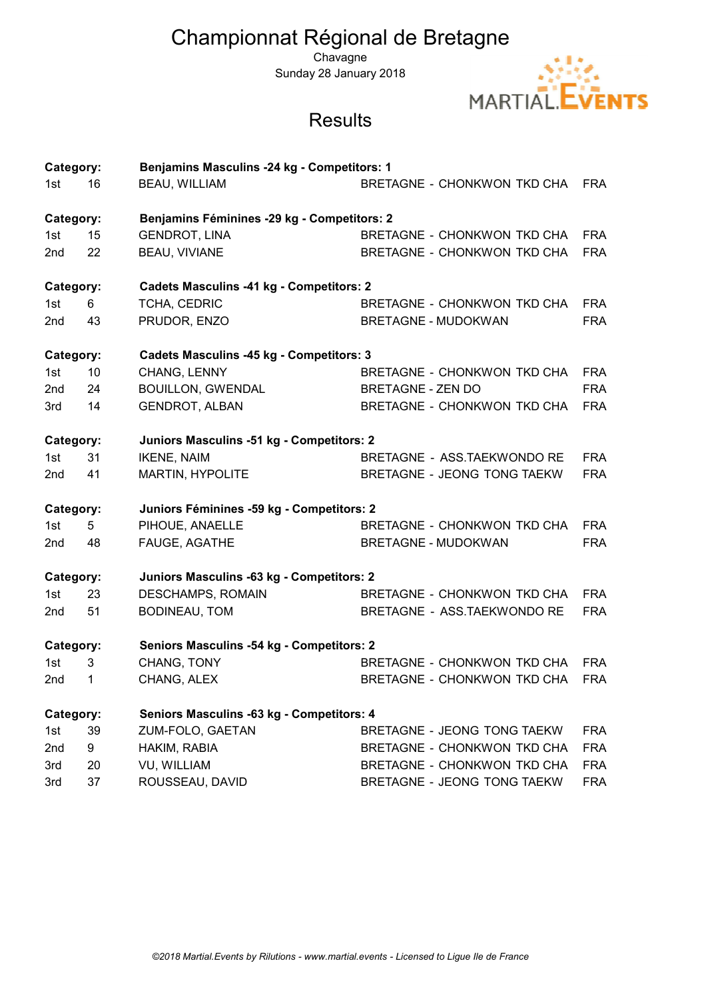## Championnat Régional de Bretagne

**Chavagne** Sunday 28 January 2018



## **Results**

| Category:       |    | Benjamins Masculins -24 kg - Competitors: 1     |                                    |            |
|-----------------|----|-------------------------------------------------|------------------------------------|------------|
| 1st             | 16 | <b>BEAU, WILLIAM</b>                            | BRETAGNE - CHONKWON TKD CHA        | <b>FRA</b> |
| Category:       |    | Benjamins Féminines -29 kg - Competitors: 2     |                                    |            |
| 1st             | 15 | <b>GENDROT, LINA</b>                            | BRETAGNE - CHONKWON TKD CHA        | <b>FRA</b> |
| 2 <sub>nd</sub> | 22 | <b>BEAU, VIVIANE</b>                            | <b>BRETAGNE - CHONKWON TKD CHA</b> | <b>FRA</b> |
| Category:       |    | <b>Cadets Masculins -41 kg - Competitors: 2</b> |                                    |            |
| 1st             | 6  | TCHA, CEDRIC                                    | <b>BRETAGNE - CHONKWON TKD CHA</b> | <b>FRA</b> |
| 2 <sub>nd</sub> | 43 | PRUDOR, ENZO                                    | <b>BRETAGNE - MUDOKWAN</b>         | <b>FRA</b> |
| Category:       |    | <b>Cadets Masculins -45 kg - Competitors: 3</b> |                                    |            |
| 1st             | 10 | CHANG, LENNY                                    | BRETAGNE - CHONKWON TKD CHA        | <b>FRA</b> |
| 2nd             | 24 | <b>BOUILLON, GWENDAL</b>                        | <b>BRETAGNE - ZEN DO</b>           | <b>FRA</b> |
| 3rd             | 14 | <b>GENDROT, ALBAN</b>                           | <b>BRETAGNE - CHONKWON TKD CHA</b> | <b>FRA</b> |
| Category:       |    | Juniors Masculins -51 kg - Competitors: 2       |                                    |            |
| 1st             | 31 | <b>IKENE, NAIM</b>                              | BRETAGNE - ASS.TAEKWONDO RE        | <b>FRA</b> |
| 2nd             | 41 | MARTIN, HYPOLITE                                | BRETAGNE - JEONG TONG TAEKW        | <b>FRA</b> |
| Category:       |    | Juniors Féminines -59 kg - Competitors: 2       |                                    |            |
| 1st             | 5  | PIHOUE, ANAELLE                                 | BRETAGNE - CHONKWON TKD CHA        | <b>FRA</b> |
| 2nd             | 48 | FAUGE, AGATHE                                   | <b>BRETAGNE - MUDOKWAN</b>         | <b>FRA</b> |
| Category:       |    | Juniors Masculins -63 kg - Competitors: 2       |                                    |            |
| 1st             | 23 | <b>DESCHAMPS, ROMAIN</b>                        | BRETAGNE - CHONKWON TKD CHA        | <b>FRA</b> |
| 2nd             | 51 | <b>BODINEAU, TOM</b>                            | BRETAGNE - ASS.TAEKWONDO RE        | <b>FRA</b> |
| Category:       |    | Seniors Masculins -54 kg - Competitors: 2       |                                    |            |
| 1st             | 3  | CHANG, TONY                                     | <b>BRETAGNE - CHONKWON TKD CHA</b> | <b>FRA</b> |
| 2nd             | 1  | CHANG, ALEX                                     | <b>BRETAGNE - CHONKWON TKD CHA</b> | <b>FRA</b> |
| Category:       |    | Seniors Masculins -63 kg - Competitors: 4       |                                    |            |
| 1st             | 39 | ZUM-FOLO, GAETAN                                | BRETAGNE - JEONG TONG TAEKW        | <b>FRA</b> |
| 2nd             | 9  | HAKIM, RABIA                                    | <b>BRETAGNE - CHONKWON TKD CHA</b> | <b>FRA</b> |
| 3rd             | 20 | VU, WILLIAM                                     | <b>BRETAGNE - CHONKWON TKD CHA</b> | <b>FRA</b> |
| 3rd             | 37 | ROUSSEAU, DAVID                                 | BRETAGNE - JEONG TONG TAEKW        | <b>FRA</b> |